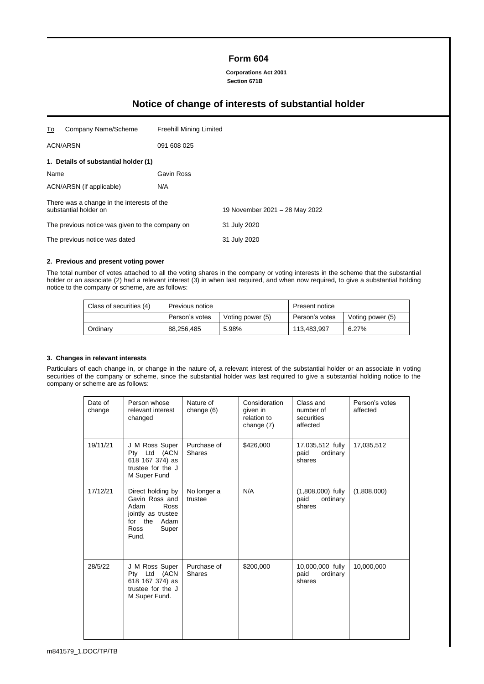# **Form 604**

**Corporations Act 2001 Section 671B**

# **Notice of change of interests of substantial holder**

| To                                              | Company Name/Scheme                                                 | <b>Freehill Mining Limited</b> |                                |  |
|-------------------------------------------------|---------------------------------------------------------------------|--------------------------------|--------------------------------|--|
| <b>ACN/ARSN</b>                                 |                                                                     | 091 608 025                    |                                |  |
|                                                 | 1. Details of substantial holder (1)                                |                                |                                |  |
| Name                                            |                                                                     | Gavin Ross                     |                                |  |
| ACN/ARSN (if applicable)                        |                                                                     | N/A                            |                                |  |
|                                                 | There was a change in the interests of the<br>substantial holder on |                                | 19 November 2021 - 28 May 2022 |  |
| The previous notice was given to the company on |                                                                     |                                | 31 July 2020                   |  |
| The previous notice was dated                   |                                                                     |                                | 31 July 2020                   |  |

#### **2. Previous and present voting power**

The total number of votes attached to all the voting shares in the company or voting interests in the scheme that the substantial holder or an associate (2) had a relevant interest (3) in when last required, and when now required, to give a substantial holding notice to the company or scheme, are as follows:

| Class of securities (4) | Previous notice |                  | Present notice |                  |
|-------------------------|-----------------|------------------|----------------|------------------|
|                         | Person's votes  | Voting power (5) | Person's votes | Voting power (5) |
| Ordinary                | 88,256,485      | 5.98%            | 113.483.997    | 6.27%            |

#### **3. Changes in relevant interests**

Particulars of each change in, or change in the nature of, a relevant interest of the substantial holder or an associate in voting securities of the company or scheme, since the substantial holder was last required to give a substantial holding notice to the company or scheme are as follows:

| Date of<br>change | Person whose<br>relevant interest<br>changed                                                                           | Nature of<br>change (6)      | Consideration<br>given in<br>relation to<br>change (7) | Class and<br>number of<br>securities<br>affected  | Person's votes<br>affected |
|-------------------|------------------------------------------------------------------------------------------------------------------------|------------------------------|--------------------------------------------------------|---------------------------------------------------|----------------------------|
| 19/11/21          | J M Ross Super<br>Pty Ltd (ACN<br>618 167 374) as<br>trustee for the J<br>M Super Fund                                 | Purchase of<br><b>Shares</b> | \$426,000                                              | 17,035,512 fully<br>ordinary<br>paid<br>shares    | 17,035,512                 |
| 17/12/21          | Direct holding by<br>Gavin Ross and<br>Adam<br>Ross<br>jointly as trustee<br>Adam<br>for the<br>Ross<br>Super<br>Fund. | No longer a<br>trustee       | N/A                                                    | $(1,808,000)$ fully<br>ordinary<br>paid<br>shares | (1,808,000)                |
| 28/5/22           | J M Ross Super<br>Pty Ltd (ACN<br>618 167 374) as<br>trustee for the J<br>M Super Fund.                                | Purchase of<br><b>Shares</b> | \$200,000                                              | 10,000,000 fully<br>paid<br>ordinary<br>shares    | 10,000,000                 |